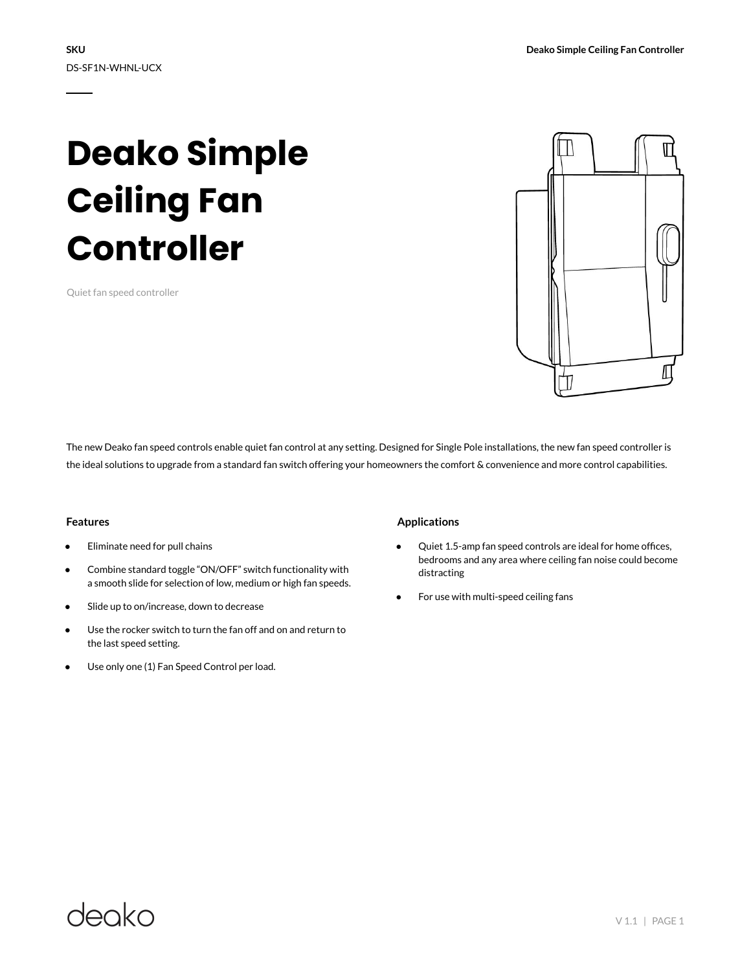# **Deako Simple Ceiling Fan Controller**

Quiet fan speed controller



The new Deako fan speed controls enable quiet fan control at any setting. Designed for Single Pole installations, the new fan speed controller is the ideal solutions to upgrade from a standard fan switch offering your homeowners the comfort & convenience and more control capabilities.

#### **Features**

- Eliminate need for pull chains
- Combine standard toggle "ON/OFF" switch functionality with a smooth slide for selection of low, medium or high fan speeds.
- Slide up to on/increase, down to decrease
- Use the rocker switch to turn the fan off and on and return to the last speed setting.
- Use only one (1) Fan Speed Control per load.

### **Applications**

- Quiet 1.5-amp fan speed controls are ideal for home offices, bedrooms and any area where ceiling fan noise could become distracting
- For use with multi-speed ceiling fans